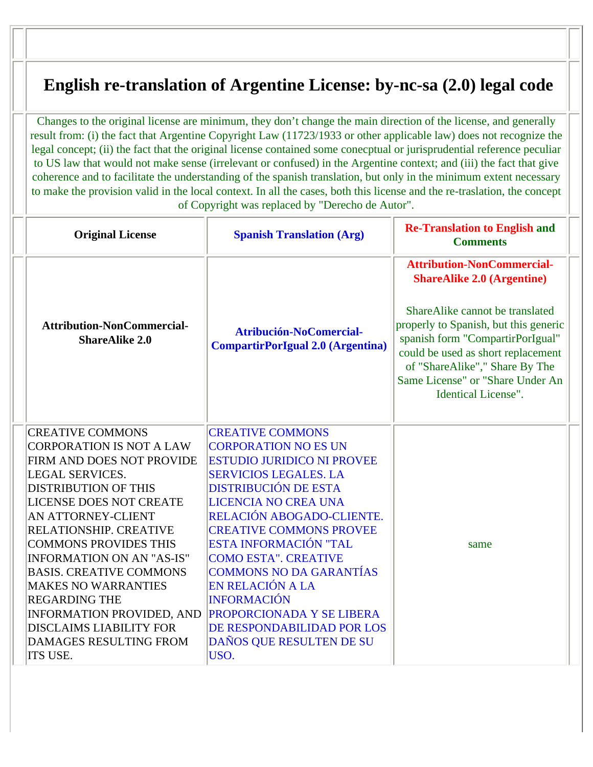## **English re-translation of Argentine License: by-nc-sa (2.0) legal code**

Changes to the original license are minimum, they don't change the main direction of the license, and generally result from: (i) the fact that Argentine Copyright Law (11723/1933 or other applicable law) does not recognize the legal concept; (ii) the fact that the original license contained some conecptual or jurisprudential reference peculiar to US law that would not make sense (irrelevant or confused) in the Argentine context; and (iii) the fact that give coherence and to facilitate the understanding of the spanish translation, but only in the minimum extent necessary to make the provision valid in the local context. In all the cases, both this license and the re-traslation, the concept of Copyright was replaced by "Derecho de Autor".

| <b>Original License</b>                                                                                                                                                                                                                                                                                                                                                                                                                                                                                           | <b>Spanish Translation (Arg)</b>                                                                                                                                                                                                                                                                                                                                                                                                                                                                   | <b>Re-Translation to English and</b><br><b>Comments</b>                                                                                                                                                                                                                                                                          |  |
|-------------------------------------------------------------------------------------------------------------------------------------------------------------------------------------------------------------------------------------------------------------------------------------------------------------------------------------------------------------------------------------------------------------------------------------------------------------------------------------------------------------------|----------------------------------------------------------------------------------------------------------------------------------------------------------------------------------------------------------------------------------------------------------------------------------------------------------------------------------------------------------------------------------------------------------------------------------------------------------------------------------------------------|----------------------------------------------------------------------------------------------------------------------------------------------------------------------------------------------------------------------------------------------------------------------------------------------------------------------------------|--|
| <b>Attribution-NonCommercial-</b><br><b>ShareAlike 2.0</b>                                                                                                                                                                                                                                                                                                                                                                                                                                                        | Atribución-NoComercial-<br><b>CompartirPorIgual 2.0 (Argentina)</b>                                                                                                                                                                                                                                                                                                                                                                                                                                | <b>Attribution-NonCommercial-</b><br><b>ShareAlike 2.0 (Argentine)</b><br>ShareAlike cannot be translated<br>properly to Spanish, but this generic<br>spanish form "CompartirPorIgual"<br>could be used as short replacement<br>of "ShareAlike"," Share By The<br>Same License" or "Share Under An<br><b>Identical License".</b> |  |
| <b>CREATIVE COMMONS</b><br><b>CORPORATION IS NOT A LAW</b><br>FIRM AND DOES NOT PROVIDE<br><b>LEGAL SERVICES.</b><br><b>DISTRIBUTION OF THIS</b><br><b>LICENSE DOES NOT CREATE</b><br>AN ATTORNEY-CLIENT<br>RELATIONSHIP. CREATIVE<br><b>COMMONS PROVIDES THIS</b><br><b>INFORMATION ON AN "AS-IS"</b><br><b>BASIS. CREATIVE COMMONS</b><br><b>MAKES NO WARRANTIES</b><br><b>REGARDING THE</b><br><b>INFORMATION PROVIDED, AND</b><br><b>DISCLAIMS LIABILITY FOR</b><br><b>DAMAGES RESULTING FROM</b><br>ITS USE. | <b>CREATIVE COMMONS</b><br><b>CORPORATION NO ES UN</b><br><b>ESTUDIO JURIDICO NI PROVEE</b><br><b>SERVICIOS LEGALES. LA</b><br><b>DISTRIBUCIÓN DE ESTA</b><br><b>LICENCIA NO CREA UNA</b><br>RELACIÓN ABOGADO-CLIENTE.<br><b>CREATIVE COMMONS PROVEE</b><br>ESTA INFORMACIÓN "TAL<br><b>COMO ESTA". CREATIVE</b><br><b>COMMONS NO DA GARANTÍAS</b><br>EN RELACIÓN A LA<br><b>INFORMACIÓN</b><br><b>PROPORCIONADA Y SE LIBERA</b><br>DE RESPONDABILIDAD POR LOS<br>DAÑOS QUE RESULTEN DE SU<br>USO. | same                                                                                                                                                                                                                                                                                                                             |  |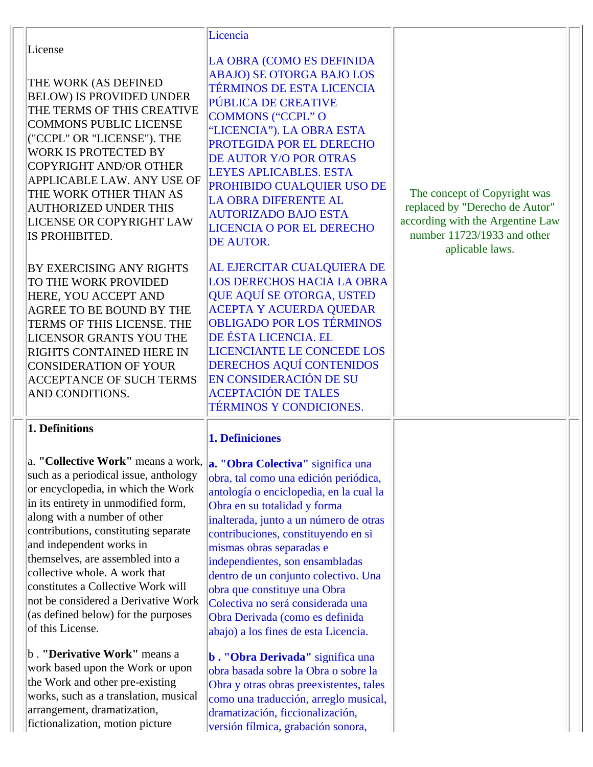| License<br>THE WORK (AS DEFINED<br><b>BELOW) IS PROVIDED UNDER</b><br>THE TERMS OF THIS CREATIVE<br><b>COMMONS PUBLIC LICENSE</b><br>("CCPL" OR "LICENSE"). THE<br>WORK IS PROTECTED BY<br><b>COPYRIGHT AND/OR OTHER</b><br>APPLICABLE LAW. ANY USE OF<br>THE WORK OTHER THAN AS<br><b>AUTHORIZED UNDER THIS</b><br>LICENSE OR COPYRIGHT LAW<br>IS PROHIBITED.<br><b>BY EXERCISING ANY RIGHTS</b><br>TO THE WORK PROVIDED<br>HERE, YOU ACCEPT AND<br><b>AGREE TO BE BOUND BY THE</b><br>TERMS OF THIS LICENSE. THE<br><b>LICENSOR GRANTS YOU THE</b><br>RIGHTS CONTAINED HERE IN<br><b>CONSIDERATION OF YOUR</b><br><b>ACCEPTANCE OF SUCH TERMS</b><br>AND CONDITIONS.                                         | Licencia<br>LA OBRA (COMO ES DEFINIDA<br><b>ABAJO) SE OTORGA BAJO LOS</b><br><b>TÉRMINOS DE ESTA LICENCIA</b><br>PÚBLICA DE CREATIVE<br><b>COMMONS ("CCPL" O</b><br>"LICENCIA"). LA OBRA ESTA<br>PROTEGIDA POR EL DERECHO<br>DE AUTOR Y/O POR OTRAS<br><b>LEYES APLICABLES. ESTA</b><br>PROHIBIDO CUALQUIER USO DE<br><b>LA OBRA DIFERENTE AL</b><br><b>AUTORIZADO BAJO ESTA</b><br><b>LICENCIA O POR EL DERECHO</b><br>DE AUTOR.<br>AL EJERCITAR CUALQUIERA DE<br><b>LOS DERECHOS HACIA LA OBRA</b><br>QUE AQUÍ SE OTORGA, USTED<br><b>ACEPTA Y ACUERDA QUEDAR</b><br><b>OBLIGADO POR LOS TÉRMINOS</b><br>DE ÉSTA LICENCIA. EL<br><b>LICENCIANTE LE CONCEDE LOS</b><br>DERECHOS AQUÍ CONTENIDOS<br>EN CONSIDERACIÓN DE SU<br><b>ACEPTACIÓN DE TALES</b>                                                   | The concept of Copyright was<br>replaced by "Derecho de Autor"<br>according with the Argentine Law<br>number 11723/1933 and other<br>aplicable laws. |  |
|----------------------------------------------------------------------------------------------------------------------------------------------------------------------------------------------------------------------------------------------------------------------------------------------------------------------------------------------------------------------------------------------------------------------------------------------------------------------------------------------------------------------------------------------------------------------------------------------------------------------------------------------------------------------------------------------------------------|------------------------------------------------------------------------------------------------------------------------------------------------------------------------------------------------------------------------------------------------------------------------------------------------------------------------------------------------------------------------------------------------------------------------------------------------------------------------------------------------------------------------------------------------------------------------------------------------------------------------------------------------------------------------------------------------------------------------------------------------------------------------------------------------------------|------------------------------------------------------------------------------------------------------------------------------------------------------|--|
| 1. Definitions<br>a. "Collective Work" means a work,<br>such as a periodical issue, anthology<br>or encyclopedia, in which the Work<br>in its entirety in unmodified form,<br>along with a number of other<br>contributions, constituting separate<br>and independent works in<br>themselves, are assembled into a<br>collective whole. A work that<br>constitutes a Collective Work will<br>not be considered a Derivative Work<br>(as defined below) for the purposes<br>of this License.<br>b. "Derivative Work" means a<br>work based upon the Work or upon<br>the Work and other pre-existing<br>works, such as a translation, musical<br>arrangement, dramatization,<br>fictionalization, motion picture | <b>TÉRMINOS Y CONDICIONES.</b><br><b>1. Definiciones</b><br>a. "Obra Colectiva" significa una<br>obra, tal como una edición periódica,<br>antología o enciclopedia, en la cual la<br>Obra en su totalidad y forma<br>inalterada, junto a un número de otras<br>contribuciones, constituyendo en si<br>mismas obras separadas e<br>independientes, son ensambladas<br>dentro de un conjunto colectivo. Una<br>obra que constituye una Obra<br>Colectiva no será considerada una<br>Obra Derivada (como es definida<br>abajo) a los fines de esta Licencia.<br><b>b. "Obra Derivada"</b> significa una<br>obra basada sobre la Obra o sobre la<br>Obra y otras obras preexistentes, tales<br>como una traducción, arreglo musical,<br>dramatización, ficcionalización,<br>versión fílmica, grabación sonora, |                                                                                                                                                      |  |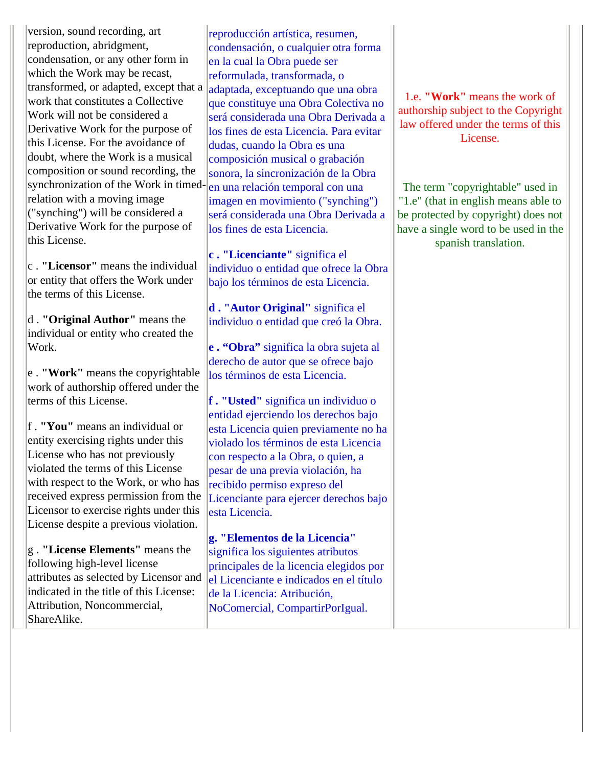version, sound recording, art reproduction, abridgment, condensation, or any other form in which the Work may be recast, transformed, or adapted, except that a work that constitutes a Collective Work will not be considered a Derivative Work for the purpose of this License. For the avoidance of doubt, where the Work is a musical composition or sound recording, the synchronization of the Work in timed-en una relación temporal con una relation with a moving image ("synching") will be considered a Derivative Work for the purpose of this License.

c . **"Licensor"** means the individual or entity that offers the Work under the terms of this License.

d . **"Original Author"** means the individual or entity who created the Work.

e . **"Work"** means the copyrightable work of authorship offered under the terms of this License.

f . **"You"** means an individual or entity exercising rights under this License who has not previously violated the terms of this License with respect to the Work, or who has received express permission from the Licensor to exercise rights under this License despite a previous violation.

g . **"License Elements"** means the following high-level license attributes as selected by Licensor and indicated in the title of this License: Attribution, Noncommercial, ShareAlike.

reproducción artística, resumen, condensación, o cualquier otra forma en la cual la Obra puede ser reformulada, transformada, o adaptada, exceptuando que una obra que constituye una Obra Colectiva no será considerada una Obra Derivada a los fines de esta Licencia. Para evitar dudas, cuando la Obra es una composición musical o grabación sonora, la sincronización de la Obra imagen en movimiento ("synching") será considerada una Obra Derivada a los fines de esta Licencia.

**c . "Licenciante"** significa el individuo o entidad que ofrece la Obra bajo los términos de esta Licencia.

**d . "Autor Original"** significa el individuo o entidad que creó la Obra.

**e . "Obra"** significa la obra sujeta al derecho de autor que se ofrece bajo los términos de esta Licencia.

**f . "Usted"** significa un individuo o entidad ejerciendo los derechos bajo esta Licencia quien previamente no ha violado los términos de esta Licencia con respecto a la Obra, o quien, a pesar de una previa violación, ha recibido permiso expreso del Licenciante para ejercer derechos bajo esta Licencia.

**g. "Elementos de la Licencia"**  significa los siguientes atributos principales de la licencia elegidos por el Licenciante e indicados en el título de la Licencia: Atribución, NoComercial, CompartirPorIgual.

1.e. **"Work"** means the work of authorship subject to the Copyright law offered under the terms of this License.

The term "copyrightable" used in "1.e" (that in english means able to be protected by copyright) does not have a single word to be used in the spanish translation.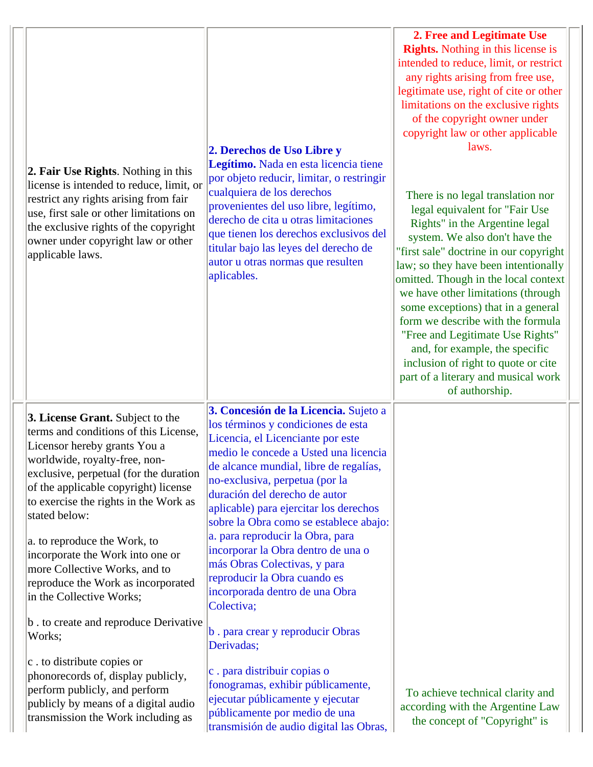| 2. Fair Use Rights. Nothing in this<br>license is intended to reduce, limit, or<br>restrict any rights arising from fair<br>use, first sale or other limitations on<br>the exclusive rights of the copyright<br>owner under copyright law or other<br>applicable laws.                                                                                     | 2. Derechos de Uso Libre y<br>Legítimo. Nada en esta licencia tiene<br>por objeto reducir, limitar, o restringir<br>cualquiera de los derechos<br>provenientes del uso libre, legítimo,<br>derecho de cita u otras limitaciones<br>que tienen los derechos exclusivos del<br>titular bajo las leyes del derecho de<br>autor u otras normas que resulten<br>aplicables.                                                                                               | 2. Free and Legitimate Use<br><b>Rights.</b> Nothing in this license is<br>intended to reduce, limit, or restrict<br>any rights arising from free use,<br>legitimate use, right of cite or other<br>limitations on the exclusive rights<br>of the copyright owner under<br>copyright law or other applicable<br>laws.<br>There is no legal translation nor<br>legal equivalent for "Fair Use<br>Rights" in the Argentine legal<br>system. We also don't have the<br>"first sale" doctrine in our copyright<br>law; so they have been intentionally<br>omitted. Though in the local context<br>we have other limitations (through<br>some exceptions) that in a general<br>form we describe with the formula<br>"Free and Legitimate Use Rights"<br>and, for example, the specific<br>inclusion of right to quote or cite<br>part of a literary and musical work<br>of authorship. |
|------------------------------------------------------------------------------------------------------------------------------------------------------------------------------------------------------------------------------------------------------------------------------------------------------------------------------------------------------------|----------------------------------------------------------------------------------------------------------------------------------------------------------------------------------------------------------------------------------------------------------------------------------------------------------------------------------------------------------------------------------------------------------------------------------------------------------------------|-----------------------------------------------------------------------------------------------------------------------------------------------------------------------------------------------------------------------------------------------------------------------------------------------------------------------------------------------------------------------------------------------------------------------------------------------------------------------------------------------------------------------------------------------------------------------------------------------------------------------------------------------------------------------------------------------------------------------------------------------------------------------------------------------------------------------------------------------------------------------------------|
| 3. License Grant. Subject to the<br>terms and conditions of this License,<br>Licensor hereby grants You a<br>worldwide, royalty-free, non-<br>exclusive, perpetual (for the duration<br>of the applicable copyright) license<br>to exercise the rights in the Work as<br>stated below:<br>a. to reproduce the Work, to<br>incorporate the Work into one or | 3. Concesión de la Licencia. Sujeto a<br>los términos y condiciones de esta<br>Licencia, el Licenciante por este<br>medio le concede a Usted una licencia<br>de alcance mundial, libre de regalías,<br>no-exclusiva, perpetua (por la<br>duración del derecho de autor<br>aplicable) para ejercitar los derechos<br>sobre la Obra como se establece abajo:<br>a. para reproducir la Obra, para<br>incorporar la Obra dentro de una o<br>más Obras Colectivas, y para |                                                                                                                                                                                                                                                                                                                                                                                                                                                                                                                                                                                                                                                                                                                                                                                                                                                                                   |
| more Collective Works, and to<br>reproduce the Work as incorporated<br>in the Collective Works;<br>b . to create and reproduce Derivative                                                                                                                                                                                                                  | reproducir la Obra cuando es<br>incorporada dentro de una Obra<br>Colectiva;                                                                                                                                                                                                                                                                                                                                                                                         |                                                                                                                                                                                                                                                                                                                                                                                                                                                                                                                                                                                                                                                                                                                                                                                                                                                                                   |
| Works;<br>$ c $ . to distribute copies or                                                                                                                                                                                                                                                                                                                  | b. para crear y reproducir Obras<br>Derivadas;                                                                                                                                                                                                                                                                                                                                                                                                                       |                                                                                                                                                                                                                                                                                                                                                                                                                                                                                                                                                                                                                                                                                                                                                                                                                                                                                   |
| phonorecords of, display publicly,<br>perform publicly, and perform<br>publicly by means of a digital audio<br>transmission the Work including as                                                                                                                                                                                                          | c. para distribuir copias o<br>fonogramas, exhibir públicamente,<br>ejecutar públicamente y ejecutar<br>públicamente por medio de una<br>transmisión de audio digital las Obras,                                                                                                                                                                                                                                                                                     | To achieve technical clarity and<br>according with the Argentine Law<br>the concept of "Copyright" is                                                                                                                                                                                                                                                                                                                                                                                                                                                                                                                                                                                                                                                                                                                                                                             |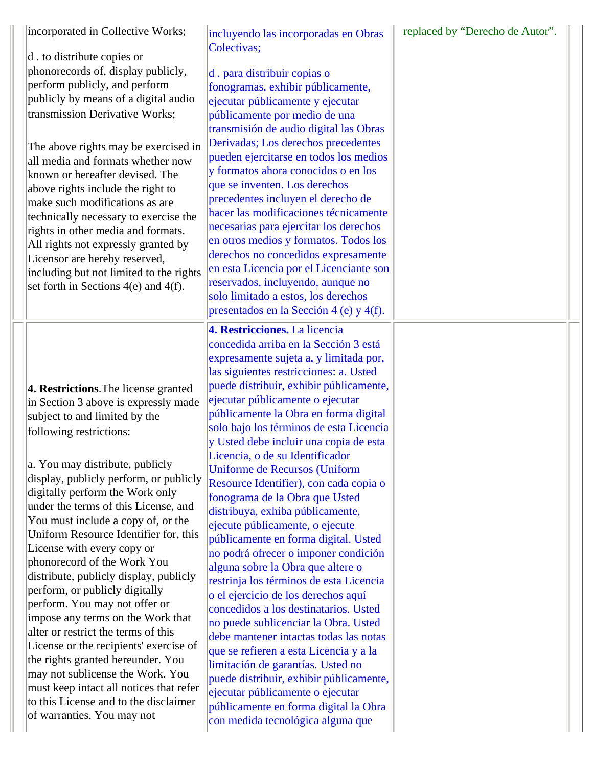| incorporated in Collective Works;<br>d . to distribute copies or<br>phonorecords of, display publicly,<br>perform publicly, and perform<br>publicly by means of a digital audio<br>transmission Derivative Works;<br>The above rights may be exercised in<br>all media and formats whether now<br>known or hereafter devised. The<br>above rights include the right to<br>make such modifications as are<br>technically necessary to exercise the<br>rights in other media and formats.<br>All rights not expressly granted by<br>Licensor are hereby reserved,<br>including but not limited to the rights<br>set forth in Sections $4(e)$ and $4(f)$ .                                                                                                                                                                                                                    | incluyendo las incorporadas en Obras<br>Colectivas;<br>d. para distribuir copias o<br>fonogramas, exhibir públicamente,<br>ejecutar públicamente y ejecutar<br>públicamente por medio de una<br>transmisión de audio digital las Obras<br>Derivadas; Los derechos precedentes<br>pueden ejercitarse en todos los medios<br>y formatos ahora conocidos o en los<br>que se inventen. Los derechos<br>precedentes incluyen el derecho de<br>hacer las modificaciones técnicamente<br>necesarias para ejercitar los derechos<br>en otros medios y formatos. Todos los<br>derechos no concedidos expresamente<br>en esta Licencia por el Licenciante son<br>reservados, incluyendo, aunque no<br>solo limitado a estos, los derechos<br>presentados en la Sección 4 (e) y 4(f).                                                                                                                                                                                                                                                                                                                                                                                                   | replaced by "Derecho de Autor". |
|----------------------------------------------------------------------------------------------------------------------------------------------------------------------------------------------------------------------------------------------------------------------------------------------------------------------------------------------------------------------------------------------------------------------------------------------------------------------------------------------------------------------------------------------------------------------------------------------------------------------------------------------------------------------------------------------------------------------------------------------------------------------------------------------------------------------------------------------------------------------------|------------------------------------------------------------------------------------------------------------------------------------------------------------------------------------------------------------------------------------------------------------------------------------------------------------------------------------------------------------------------------------------------------------------------------------------------------------------------------------------------------------------------------------------------------------------------------------------------------------------------------------------------------------------------------------------------------------------------------------------------------------------------------------------------------------------------------------------------------------------------------------------------------------------------------------------------------------------------------------------------------------------------------------------------------------------------------------------------------------------------------------------------------------------------------|---------------------------------|
| 4. Restrictions. The license granted<br>in Section 3 above is expressly made<br>subject to and limited by the<br>following restrictions:<br>a. You may distribute, publicly<br>display, publicly perform, or publicly<br>digitally perform the Work only<br>under the terms of this License, and<br>You must include a copy of, or the<br>Uniform Resource Identifier for, this<br>License with every copy or<br>phonorecord of the Work You<br>distribute, publicly display, publicly<br>perform, or publicly digitally<br>perform. You may not offer or<br>impose any terms on the Work that<br>alter or restrict the terms of this<br>License or the recipients' exercise of<br>the rights granted hereunder. You<br>may not sublicense the Work. You<br>must keep intact all notices that refer<br>to this License and to the disclaimer<br>of warranties. You may not | 4. Restricciones. La licencia<br>concedida arriba en la Sección 3 está<br>expresamente sujeta a, y limitada por,<br>las siguientes restricciones: a. Usted<br>puede distribuir, exhibir públicamente,<br>ejecutar públicamente o ejecutar<br>públicamente la Obra en forma digital<br>solo bajo los términos de esta Licencia<br>y Usted debe incluir una copia de esta<br>Licencia, o de su Identificador<br>Uniforme de Recursos (Uniform<br>Resource Identifier), con cada copia o<br>fonograma de la Obra que Usted<br>distribuya, exhiba públicamente,<br>ejecute públicamente, o ejecute<br>públicamente en forma digital. Usted<br>no podrá ofrecer o imponer condición<br>alguna sobre la Obra que altere o<br>restrinja los términos de esta Licencia<br>o el ejercicio de los derechos aquí<br>concedidos a los destinatarios. Usted<br>no puede sublicenciar la Obra. Usted<br>debe mantener intactas todas las notas<br>que se refieren a esta Licencia y a la<br>limitación de garantías. Usted no<br>puede distribuir, exhibir públicamente,<br>ejecutar públicamente o ejecutar<br>públicamente en forma digital la Obra<br>con medida tecnológica alguna que |                                 |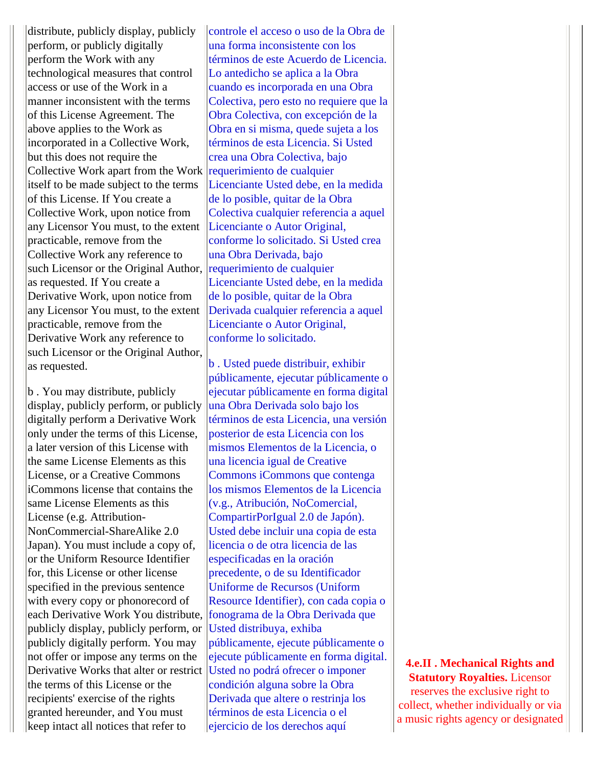distribute, publicly display, publicly perform, or publicly digitally perform the Work with any technological measures that control access or use of the Work in a manner inconsistent with the terms of this License Agreement. The above applies to the Work as incorporated in a Collective Work, but this does not require the Collective Work apart from the Work requerimiento de cualquier itself to be made subject to the terms of this License. If You create a Collective Work, upon notice from any Licensor You must, to the extent practicable, remove from the Collective Work any reference to such Licensor or the Original Author, requerimiento de cualquier as requested. If You create a Derivative Work, upon notice from any Licensor You must, to the extent practicable, remove from the Derivative Work any reference to such Licensor or the Original Author, as requested.

b . You may distribute, publicly display, publicly perform, or publicly digitally perform a Derivative Work only under the terms of this License, a later version of this License with the same License Elements as this License, or a Creative Commons iCommons license that contains the same License Elements as this License (e.g. Attribution-NonCommercial-ShareAlike 2.0 Japan). You must include a copy of, or the Uniform Resource Identifier for, this License or other license specified in the previous sentence with every copy or phonorecord of each Derivative Work You distribute, publicly display, publicly perform, or publicly digitally perform. You may not offer or impose any terms on the Derivative Works that alter or restrict Usted no podrá ofrecer o imponer the terms of this License or the recipients' exercise of the rights granted hereunder, and You must keep intact all notices that refer to

controle el acceso o uso de la Obra de una forma inconsistente con los términos de este Acuerdo de Licencia. Lo antedicho se aplica a la Obra cuando es incorporada en una Obra Colectiva, pero esto no requiere que la Obra Colectiva, con excepción de la Obra en si misma, quede sujeta a los términos de esta Licencia. Si Usted crea una Obra Colectiva, bajo Licenciante Usted debe, en la medida de lo posible, quitar de la Obra Colectiva cualquier referencia a aquel Licenciante o Autor Original, conforme lo solicitado. Si Usted crea una Obra Derivada, bajo Licenciante Usted debe, en la medida de lo posible, quitar de la Obra Derivada cualquier referencia a aquel Licenciante o Autor Original, conforme lo solicitado.

b . Usted puede distribuir, exhibir públicamente, ejecutar públicamente o ejecutar públicamente en forma digital una Obra Derivada solo bajo los términos de esta Licencia, una versión posterior de esta Licencia con los mismos Elementos de la Licencia, o una licencia igual de Creative Commons iCommons que contenga los mismos Elementos de la Licencia (v.g., Atribución, NoComercial, CompartirPorIgual 2.0 de Japón). Usted debe incluir una copia de esta licencia o de otra licencia de las especificadas en la oración precedente, o de su Identificador Uniforme de Recursos (Uniform Resource Identifier), con cada copia o fonograma de la Obra Derivada que Usted distribuya, exhiba públicamente, ejecute públicamente o ejecute públicamente en forma digital. condición alguna sobre la Obra Derivada que altere o restrinja los términos de esta Licencia o el ejercicio de los derechos aquí

**4.e.II . Mechanical Rights and Statutory Royalties.** Licensor reserves the exclusive right to collect, whether individually or via a music rights agency or designated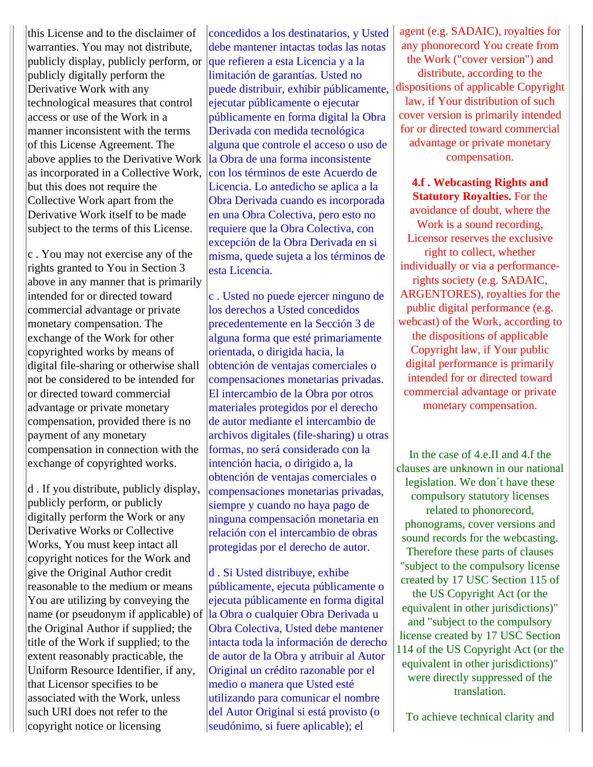this License and to the disclaimer of warranties. You may not distribute, publicly display, publicly perform, or publicly digitally perform the Derivative Work with any technological measures that control access or use of the Work in a manner inconsistent with the terms of this License Agreement. The above applies to the Derivative Work as incorporated in a Collective Work, but this does not require the Collective Work apart from the Derivative Work itself to be made subject to the terms of this License.

 $|c|$ . You may not exercise any of the rights granted to You in Section 3 above in any manner that is primarily intended for or directed toward commercial advantage or private monetary compensation. The exchange of the Work for other copyrighted works by means of digital file-sharing or otherwise shall not be considered to be intended for or directed toward commercial advantage or private monetary compensation, provided there is no payment of any monetary compensation in connection with the exchange of copyrighted works.

d . If you distribute, publicly display, publicly perform, or publicly digitally perform the Work or any Derivative Works or Collective Works, You must keep intact all copyright notices for the Work and give the Original Author credit reasonable to the medium or means You are utilizing by conveying the name (or pseudonym if applicable) of the Original Author if supplied; the title of the Work if supplied; to the extent reasonably practicable, the Uniform Resource Identifier, if any, that Licensor specifies to be associated with the Work, unless such URI does not refer to the copyright notice or licensing

concedidos a los destinatarios, y Usted debe mantener intactas todas las notas que refieren a esta Licencia y a la limitación de garantías. Usted no puede distribuir, exhibir públicamente, ejecutar públicamente o ejecutar públicamente en forma digital la Obra Derivada con medida tecnológica alguna que controle el acceso o uso de la Obra de una forma inconsistente con los términos de este Acuerdo de Licencia. Lo antedicho se aplica a la Obra Derivada cuando es incorporada en una Obra Colectiva, pero esto no requiere que la Obra Colectiva, con excepción de la Obra Derivada en si misma, quede sujeta a los términos de esta Licencia.

c . Usted no puede ejercer ninguno de los derechos a Usted concedidos precedentemente en la Sección 3 de alguna forma que esté primariamente orientada, o dirigida hacia, la obtención de ventajas comerciales o compensaciones monetarias privadas. El intercambio de la Obra por otros materiales protegidos por el derecho de autor mediante el intercambio de archivos digitales (file-sharing) u otras formas, no será considerado con la intención hacia, o dirigido a, la obtención de ventajas comerciales o compensaciones monetarias privadas, siempre y cuando no haya pago de ninguna compensación monetaria en relación con el intercambio de obras protegidas por el derecho de autor.

d . Si Usted distribuye, exhibe públicamente, ejecuta públicamente o ejecuta públicamente en forma digital la Obra o cualquier Obra Derivada u Obra Colectiva, Usted debe mantener intacta toda la información de derecho de autor de la Obra y atribuir al Autor Original un crédito razonable por el medio o manera que Usted esté utilizando para comunicar el nombre del Autor Original si está provisto (o seudónimo, si fuere aplicable); el

agent (e.g. SADAIC), royalties for any phonorecord You create from the Work ("cover version") and distribute, according to the dispositions of applicable Copyright law, if Your distribution of such cover version is primarily intended for or directed toward commercial advantage or private monetary compensation.

**4.f . Webcasting Rights and Statutory Royalties.** For the avoidance of doubt, where the Work is a sound recording, Licensor reserves the exclusive right to collect, whether individually or via a performancerights society (e.g. SADAIC, ARGENTORES), royalties for the public digital performance (e.g. webcast) of the Work, according to the dispositions of applicable Copyright law, if Your public digital performance is primarily intended for or directed toward commercial advantage or private monetary compensation.

In the case of 4.e.II and 4.f the clauses are unknown in our national legislation. We don´t have these compulsory statutory licenses related to phonorecord, phonograms, cover versions and sound records for the webcasting. Therefore these parts of clauses "subject to the compulsory license created by 17 USC Section 115 of the US Copyright Act (or the equivalent in other jurisdictions)" and "subject to the compulsory license created by 17 USC Section 114 of the US Copyright Act (or the equivalent in other jurisdictions)" were directly suppressed of the translation.

To achieve technical clarity and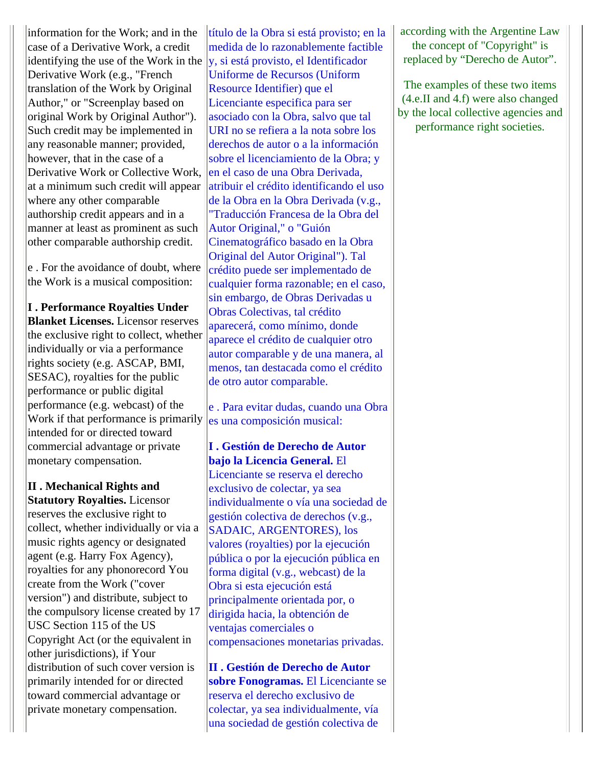information for the Work; and in the case of a Derivative Work, a credit identifying the use of the Work in the Derivative Work (e.g., "French translation of the Work by Original Author," or "Screenplay based on original Work by Original Author"). Such credit may be implemented in any reasonable manner; provided, however, that in the case of a Derivative Work or Collective Work, at a minimum such credit will appear where any other comparable authorship credit appears and in a manner at least as prominent as such other comparable authorship credit.

e . For the avoidance of doubt, where the Work is a musical composition:

**I . Performance Royalties Under Blanket Licenses.** Licensor reserves the exclusive right to collect, whether individually or via a performance rights society (e.g. ASCAP, BMI, SESAC), royalties for the public performance or public digital performance (e.g. webcast) of the Work if that performance is primarily intended for or directed toward commercial advantage or private monetary compensation.

**II . Mechanical Rights and Statutory Royalties.** Licensor reserves the exclusive right to collect, whether individually or via a music rights agency or designated agent (e.g. Harry Fox Agency), royalties for any phonorecord You create from the Work ("cover version") and distribute, subject to the compulsory license created by 17 USC Section 115 of the US Copyright Act (or the equivalent in other jurisdictions), if Your distribution of such cover version is primarily intended for or directed toward commercial advantage or private monetary compensation.

título de la Obra si está provisto; en la medida de lo razonablemente factible y, si está provisto, el Identificador Uniforme de Recursos (Uniform Resource Identifier) que el Licenciante especifica para ser asociado con la Obra, salvo que tal URI no se refiera a la nota sobre los derechos de autor o a la información sobre el licenciamiento de la Obra; y en el caso de una Obra Derivada, atribuir el crédito identificando el uso de la Obra en la Obra Derivada (v.g., "Traducción Francesa de la Obra del Autor Original," o "Guión Cinematográfico basado en la Obra Original del Autor Original"). Tal crédito puede ser implementado de cualquier forma razonable; en el caso, sin embargo, de Obras Derivadas u Obras Colectivas, tal crédito aparecerá, como mínimo, donde aparece el crédito de cualquier otro autor comparable y de una manera, al menos, tan destacada como el crédito de otro autor comparable.

e . Para evitar dudas, cuando una Obra es una composición musical:

**I . Gestión de Derecho de Autor bajo la Licencia General.** El

Licenciante se reserva el derecho exclusivo de colectar, ya sea individualmente o vía una sociedad de gestión colectiva de derechos (v.g., SADAIC, ARGENTORES), los valores (royalties) por la ejecución pública o por la ejecución pública en forma digital (v.g., webcast) de la Obra si esta ejecución está principalmente orientada por, o dirigida hacia, la obtención de ventajas comerciales o compensaciones monetarias privadas.

**II . Gestión de Derecho de Autor sobre Fonogramas.** El Licenciante se reserva el derecho exclusivo de colectar, ya sea individualmente, vía una sociedad de gestión colectiva de

according with the Argentine Law the concept of "Copyright" is replaced by "Derecho de Autor".

The examples of these two items (4.e.II and 4.f) were also changed by the local collective agencies and performance right societies.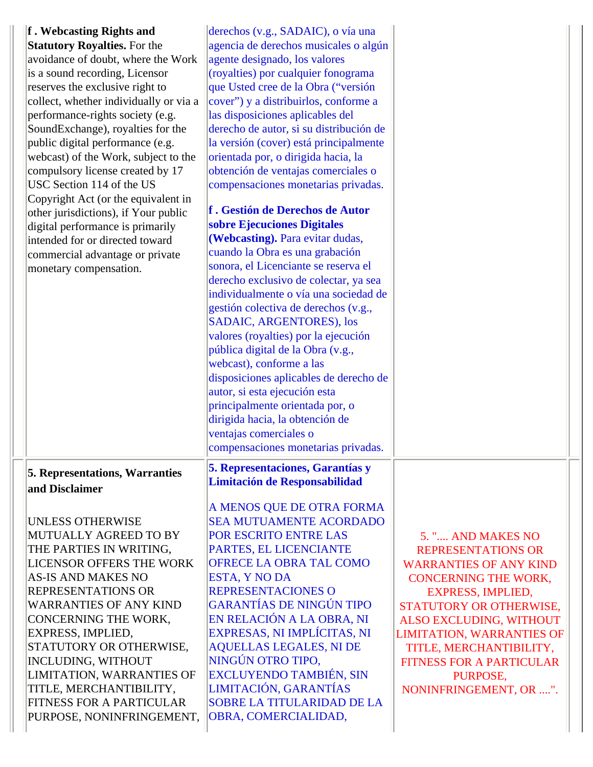| f. Webcasting Rights and<br><b>Statutory Royalties.</b> For the<br>avoidance of doubt, where the Work<br>is a sound recording, Licensor<br>reserves the exclusive right to<br>collect, whether individually or via a<br>performance-rights society (e.g.<br>SoundExchange), royalties for the<br>public digital performance (e.g.<br>webcast) of the Work, subject to the<br>compulsory license created by 17<br>USC Section 114 of the US<br>Copyright Act (or the equivalent in<br>other jurisdictions), if Your public<br>digital performance is primarily<br>intended for or directed toward<br>commercial advantage or private<br>monetary compensation. | derechos (v.g., SADAIC), o vía una<br>agencia de derechos musicales o algún<br>agente designado, los valores<br>(royalties) por cualquier fonograma<br>que Usted cree de la Obra ("versión<br>cover") y a distribuirlos, conforme a<br>las disposiciones aplicables del<br>derecho de autor, si su distribución de<br>la versión (cover) está principalmente<br>orientada por, o dirigida hacia, la<br>obtención de ventajas comerciales o<br>compensaciones monetarias privadas.<br>f. Gestión de Derechos de Autor<br>sobre Ejecuciones Digitales<br>(Webcasting). Para evitar dudas,<br>cuando la Obra es una grabación<br>sonora, el Licenciante se reserva el<br>derecho exclusivo de colectar, ya sea<br>individualmente o vía una sociedad de<br>gestión colectiva de derechos (v.g.,<br>SADAIC, ARGENTORES), los<br>valores (royalties) por la ejecución<br>pública digital de la Obra (v.g.,<br>webcast), conforme a las<br>disposiciones aplicables de derecho de<br>autor, si esta ejecución esta<br>principalmente orientada por, o<br>dirigida hacia, la obtención de<br>ventajas comerciales o<br>compensaciones monetarias privadas. |                                                                                                                                                                                                                                                                                                                                          |  |
|---------------------------------------------------------------------------------------------------------------------------------------------------------------------------------------------------------------------------------------------------------------------------------------------------------------------------------------------------------------------------------------------------------------------------------------------------------------------------------------------------------------------------------------------------------------------------------------------------------------------------------------------------------------|-----------------------------------------------------------------------------------------------------------------------------------------------------------------------------------------------------------------------------------------------------------------------------------------------------------------------------------------------------------------------------------------------------------------------------------------------------------------------------------------------------------------------------------------------------------------------------------------------------------------------------------------------------------------------------------------------------------------------------------------------------------------------------------------------------------------------------------------------------------------------------------------------------------------------------------------------------------------------------------------------------------------------------------------------------------------------------------------------------------------------------------------------------|------------------------------------------------------------------------------------------------------------------------------------------------------------------------------------------------------------------------------------------------------------------------------------------------------------------------------------------|--|
| <b>5. Representations, Warranties</b><br>and Disclaimer<br><b>UNLESS OTHERWISE</b><br>MUTUALLY AGREED TO BY<br>THE PARTIES IN WRITING,<br>LICENSOR OFFERS THE WORK<br><b>AS-IS AND MAKES NO</b><br><b>REPRESENTATIONS OR</b><br><b>WARRANTIES OF ANY KIND</b><br>CONCERNING THE WORK,<br>EXPRESS, IMPLIED,<br>STATUTORY OR OTHERWISE,<br><b>INCLUDING, WITHOUT</b><br>LIMITATION, WARRANTIES OF<br>TITLE, MERCHANTIBILITY,<br>FITNESS FOR A PARTICULAR<br>PURPOSE, NONINFRINGEMENT,                                                                                                                                                                           | 5. Representaciones, Garantías y<br><b>Limitación de Responsabilidad</b><br>A MENOS QUE DE OTRA FORMA<br><b>SEA MUTUAMENTE ACORDADO</b><br>POR ESCRITO ENTRE LAS<br>PARTES, EL LICENCIANTE<br><b>OFRECE LA OBRA TAL COMO</b><br>ESTA, Y NO DA<br>REPRESENTACIONES O<br><b>GARANTÍAS DE NINGÚN TIPO</b><br>EN RELACIÓN A LA OBRA, NI<br>EXPRESAS, NI IMPLÍCITAS, NI<br><b>AQUELLAS LEGALES, NI DE</b><br>NINGÚN OTRO TIPO,<br><b>EXCLUYENDO TAMBIÉN, SIN</b><br>LIMITACIÓN, GARANTÍAS<br><b>SOBRE LA TITULARIDAD DE LA</b><br>OBRA, COMERCIALIDAD,                                                                                                                                                                                                                                                                                                                                                                                                                                                                                                                                                                                                   | 5. " AND MAKES NO<br><b>REPRESENTATIONS OR</b><br><b>WARRANTIES OF ANY KIND</b><br><b>CONCERNING THE WORK,</b><br><b>EXPRESS, IMPLIED,</b><br>STATUTORY OR OTHERWISE,<br>ALSO EXCLUDING, WITHOUT<br><b>LIMITATION, WARRANTIES OF</b><br>TITLE, MERCHANTIBILITY,<br><b>FITNESS FOR A PARTICULAR</b><br>PURPOSE,<br>NONINFRINGEMENT, OR ". |  |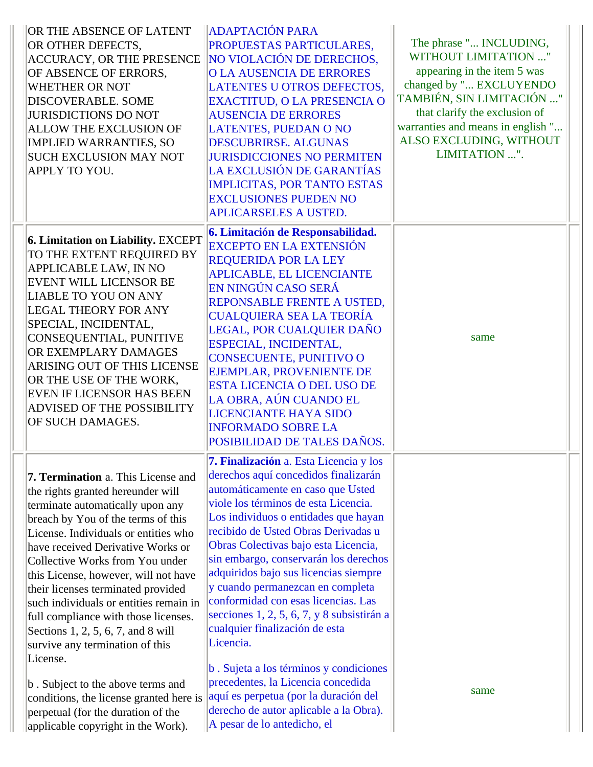| OR THE ABSENCE OF LATENT<br>OR OTHER DEFECTS,<br><b>ACCURACY, OR THE PRESENCE</b><br>OF ABSENCE OF ERRORS,<br><b>WHETHER OR NOT</b><br>DISCOVERABLE. SOME<br><b>JURISDICTIONS DO NOT</b><br><b>ALLOW THE EXCLUSION OF</b><br><b>IMPLIED WARRANTIES, SO</b><br><b>SUCH EXCLUSION MAY NOT</b><br>APPLY TO YOU.                                                                                                                                                                                                                                                                                                                                                                              | <b>ADAPTACIÓN PARA</b><br>PROPUESTAS PARTICULARES,<br>NO VIOLACIÓN DE DERECHOS,<br><b>O LA AUSENCIA DE ERRORES</b><br>LATENTES U OTROS DEFECTOS,<br>EXACTITUD, O LA PRESENCIA O<br><b>AUSENCIA DE ERRORES</b><br><b>LATENTES, PUEDAN O NO</b><br><b>DESCUBRIRSE, ALGUNAS</b><br><b>JURISDICCIONES NO PERMITEN</b><br>LA EXCLUSIÓN DE GARANTÍAS<br><b>IMPLICITAS, POR TANTO ESTAS</b><br><b>EXCLUSIONES PUEDEN NO</b><br>APLICARSELES A USTED.                                                                                                                                                                                                                                                                                                         | The phrase " INCLUDING,<br>WITHOUT LIMITATION "<br>appearing in the item 5 was<br>changed by " EXCLUYENDO<br>TAMBIÉN, SIN LIMITACIÓN "<br>that clarify the exclusion of<br>warranties and means in english "<br>ALSO EXCLUDING, WITHOUT<br>LIMITATION ". |
|-------------------------------------------------------------------------------------------------------------------------------------------------------------------------------------------------------------------------------------------------------------------------------------------------------------------------------------------------------------------------------------------------------------------------------------------------------------------------------------------------------------------------------------------------------------------------------------------------------------------------------------------------------------------------------------------|-------------------------------------------------------------------------------------------------------------------------------------------------------------------------------------------------------------------------------------------------------------------------------------------------------------------------------------------------------------------------------------------------------------------------------------------------------------------------------------------------------------------------------------------------------------------------------------------------------------------------------------------------------------------------------------------------------------------------------------------------------|----------------------------------------------------------------------------------------------------------------------------------------------------------------------------------------------------------------------------------------------------------|
| 6. Limitation on Liability. EXCEPT<br>TO THE EXTENT REQUIRED BY<br>APPLICABLE LAW, IN NO<br><b>EVENT WILL LICENSOR BE</b><br><b>LIABLE TO YOU ON ANY</b><br><b>LEGAL THEORY FOR ANY</b><br>SPECIAL, INCIDENTAL,<br>CONSEQUENTIAL, PUNITIVE<br>OR EXEMPLARY DAMAGES<br>ARISING OUT OF THIS LICENSE<br>OR THE USE OF THE WORK,<br><b>EVEN IF LICENSOR HAS BEEN</b><br><b>ADVISED OF THE POSSIBILITY</b><br>OF SUCH DAMAGES.                                                                                                                                                                                                                                                                 | 6. Limitación de Responsabilidad.<br><b>EXCEPTO EN LA EXTENSIÓN</b><br><b>REQUERIDA POR LA LEY</b><br><b>APLICABLE, EL LICENCIANTE</b><br>EN NINGÚN CASO SERÁ<br>REPONSABLE FRENTE A USTED,<br><b>CUALQUIERA SEA LA TEORÍA</b><br>LEGAL, POR CUALQUIER DAÑO<br>ESPECIAL, INCIDENTAL,<br>CONSECUENTE, PUNITIVO O<br>EJEMPLAR, PROVENIENTE DE<br><b>ESTA LICENCIA O DEL USO DE</b><br>LA OBRA, AÚN CUANDO EL<br><b>LICENCIANTE HAYA SIDO</b><br><b>INFORMADO SOBRE LA</b><br>POSIBILIDAD DE TALES DAÑOS.                                                                                                                                                                                                                                                | same                                                                                                                                                                                                                                                     |
| <b>7. Termination</b> a. This License and<br>the rights granted hereunder will<br>terminate automatically upon any<br>breach by You of the terms of this<br>License. Individuals or entities who<br>have received Derivative Works or<br>Collective Works from You under<br>this License, however, will not have<br>their licenses terminated provided<br>such individuals or entities remain in<br>full compliance with those licenses.<br>Sections 1, 2, 5, 6, 7, and 8 will<br>survive any termination of this<br>License.<br>b. Subject to the above terms and<br>conditions, the license granted here is<br>perpetual (for the duration of the<br>applicable copyright in the Work). | <b>7. Finalización</b> a. Esta Licencia y los<br>derechos aquí concedidos finalizarán<br>automáticamente en caso que Usted<br>viole los términos de esta Licencia.<br>Los individuos o entidades que hayan<br>recibido de Usted Obras Derivadas u<br>Obras Colectivas bajo esta Licencia,<br>sin embargo, conservarán los derechos<br>adquiridos bajo sus licencias siempre<br>y cuando permanezcan en completa<br>conformidad con esas licencias. Las<br>secciones 1, 2, 5, 6, 7, y 8 subsistirán a<br>cualquier finalización de esta<br>Licencia.<br>b. Sujeta a los términos y condiciones<br>precedentes, la Licencia concedida<br>aquí es perpetua (por la duración del<br>derecho de autor aplicable a la Obra).<br>A pesar de lo antedicho, el | same                                                                                                                                                                                                                                                     |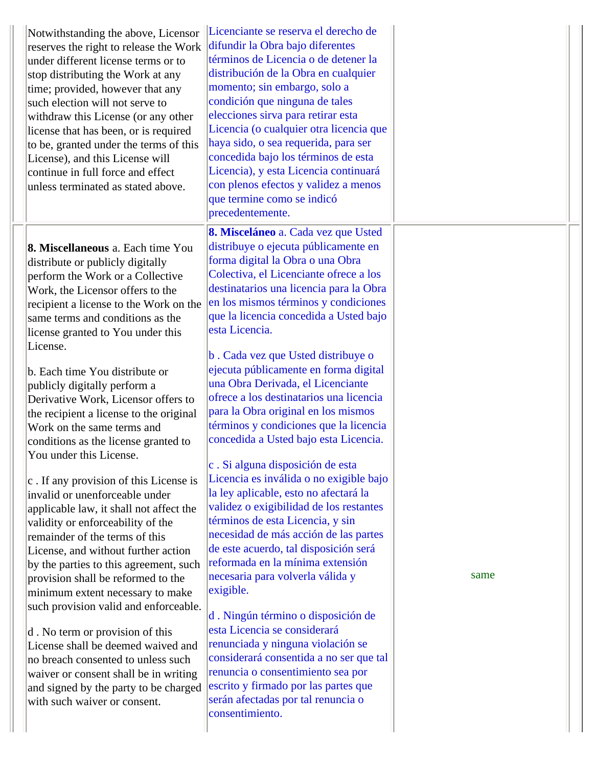| Notwithstanding the above, Licensor<br>reserves the right to release the Work<br>under different license terms or to<br>stop distributing the Work at any<br>time; provided, however that any<br>such election will not serve to<br>withdraw this License (or any other<br>license that has been, or is required<br>to be, granted under the terms of this<br>License), and this License will<br>continue in full force and effect<br>unless terminated as stated above.                                                                                                                                                                                                                                                                                                                                                                                                                                                                                                                                                                                                                                                                                             | Licenciante se reserva el derecho de<br>difundir la Obra bajo diferentes<br>términos de Licencia o de detener la<br>distribución de la Obra en cualquier<br>momento; sin embargo, solo a<br>condición que ninguna de tales<br>elecciones sirva para retirar esta<br>Licencia (o cualquier otra licencia que<br>haya sido, o sea requerida, para ser<br>concedida bajo los términos de esta<br>Licencia), y esta Licencia continuará<br>con plenos efectos y validez a menos<br>que termine como se indicó<br>precedentemente.                                                                                                                                                                                                                                                                                                                                                                                                                                                                                                                                                                                                                                                                                                                                               |      |
|----------------------------------------------------------------------------------------------------------------------------------------------------------------------------------------------------------------------------------------------------------------------------------------------------------------------------------------------------------------------------------------------------------------------------------------------------------------------------------------------------------------------------------------------------------------------------------------------------------------------------------------------------------------------------------------------------------------------------------------------------------------------------------------------------------------------------------------------------------------------------------------------------------------------------------------------------------------------------------------------------------------------------------------------------------------------------------------------------------------------------------------------------------------------|-----------------------------------------------------------------------------------------------------------------------------------------------------------------------------------------------------------------------------------------------------------------------------------------------------------------------------------------------------------------------------------------------------------------------------------------------------------------------------------------------------------------------------------------------------------------------------------------------------------------------------------------------------------------------------------------------------------------------------------------------------------------------------------------------------------------------------------------------------------------------------------------------------------------------------------------------------------------------------------------------------------------------------------------------------------------------------------------------------------------------------------------------------------------------------------------------------------------------------------------------------------------------------|------|
| 8. Miscellaneous a. Each time You<br>distribute or publicly digitally<br>perform the Work or a Collective<br>Work, the Licensor offers to the<br>recipient a license to the Work on the<br>same terms and conditions as the<br>license granted to You under this<br>License.<br>b. Each time You distribute or<br>publicly digitally perform a<br>Derivative Work, Licensor offers to<br>the recipient a license to the original<br>Work on the same terms and<br>conditions as the license granted to<br>You under this License.<br>c. If any provision of this License is<br>invalid or unenforceable under<br>applicable law, it shall not affect the<br>validity or enforceability of the<br>remainder of the terms of this<br>License, and without further action<br>by the parties to this agreement, such<br>provision shall be reformed to the<br>minimum extent necessary to make<br>such provision valid and enforceable.<br>d. No term or provision of this<br>License shall be deemed waived and<br>no breach consented to unless such<br>waiver or consent shall be in writing<br>and signed by the party to be charged<br>with such waiver or consent. | 8. Misceláneo a. Cada vez que Usted<br>distribuye o ejecuta públicamente en<br>forma digital la Obra o una Obra<br>Colectiva, el Licenciante ofrece a los<br>destinatarios una licencia para la Obra<br>en los mismos términos y condiciones<br>que la licencia concedida a Usted bajo<br>esta Licencia.<br>b. Cada vez que Usted distribuye o<br>ejecuta públicamente en forma digital<br>una Obra Derivada, el Licenciante<br>ofrece a los destinatarios una licencia<br>para la Obra original en los mismos<br>términos y condiciones que la licencia<br>concedida a Usted bajo esta Licencia.<br>c. Si alguna disposición de esta<br>Licencia es inválida o no exigible bajo<br>la ley aplicable, esto no afectará la<br>validez o exigibilidad de los restantes<br>términos de esta Licencia, y sin<br>necesidad de más acción de las partes<br>de este acuerdo, tal disposición será<br>reformada en la mínima extensión<br>necesaria para volverla válida y<br>exigible.<br>d. Ningún término o disposición de<br>esta Licencia se considerará<br>renunciada y ninguna violación se<br>considerará consentida a no ser que tal<br>renuncia o consentimiento sea por<br>escrito y firmado por las partes que<br>serán afectadas por tal renuncia o<br>consentimiento. | same |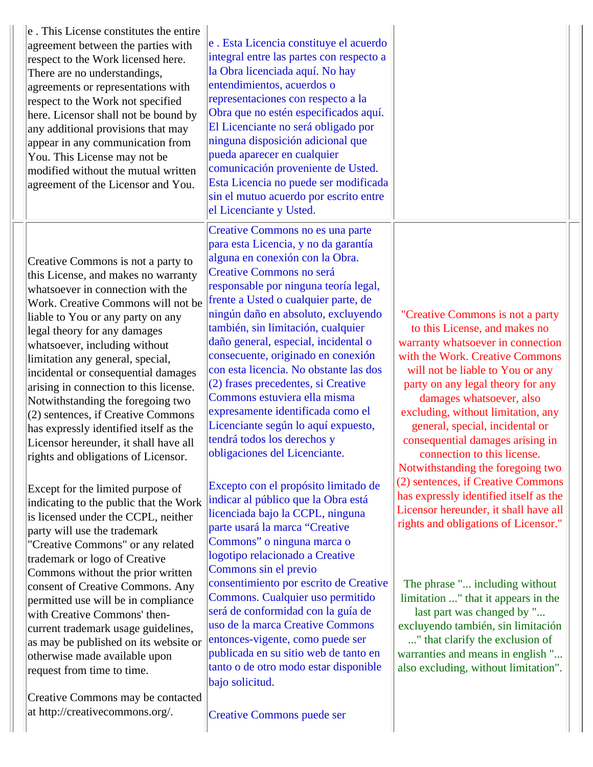| e. This License constitutes the entire<br>agreement between the parties with<br>respect to the Work licensed here.<br>There are no understandings,<br>agreements or representations with<br>respect to the Work not specified<br>here. Licensor shall not be bound by<br>any additional provisions that may<br>appear in any communication from<br>You. This License may not be<br>modified without the mutual written<br>agreement of the Licensor and You.                                                                                                                         | e . Esta Licencia constituye el acuerdo<br>integral entre las partes con respecto a<br>la Obra licenciada aquí. No hay<br>entendimientos, acuerdos o<br>representaciones con respecto a la<br>Obra que no estén especificados aquí.<br>El Licenciante no será obligado por<br>ninguna disposición adicional que<br>pueda aparecer en cualquier<br>comunicación proveniente de Usted.<br>Esta Licencia no puede ser modificada<br>sin el mutuo acuerdo por escrito entre<br>el Licenciante y Usted.                                                                                                                                               |                                                                                                                                                                                                                                                                                                                                                                                                                                 |  |
|--------------------------------------------------------------------------------------------------------------------------------------------------------------------------------------------------------------------------------------------------------------------------------------------------------------------------------------------------------------------------------------------------------------------------------------------------------------------------------------------------------------------------------------------------------------------------------------|--------------------------------------------------------------------------------------------------------------------------------------------------------------------------------------------------------------------------------------------------------------------------------------------------------------------------------------------------------------------------------------------------------------------------------------------------------------------------------------------------------------------------------------------------------------------------------------------------------------------------------------------------|---------------------------------------------------------------------------------------------------------------------------------------------------------------------------------------------------------------------------------------------------------------------------------------------------------------------------------------------------------------------------------------------------------------------------------|--|
| Creative Commons is not a party to<br>this License, and makes no warranty<br>whatsoever in connection with the<br>Work. Creative Commons will not be<br>liable to You or any party on any<br>legal theory for any damages<br>whatsoever, including without<br>limitation any general, special,<br>incidental or consequential damages<br>arising in connection to this license.<br>Notwithstanding the foregoing two<br>(2) sentences, if Creative Commons<br>has expressly identified itself as the<br>Licensor hereunder, it shall have all<br>rights and obligations of Licensor. | Creative Commons no es una parte<br>para esta Licencia, y no da garantía<br>alguna en conexión con la Obra.<br>Creative Commons no será<br>responsable por ninguna teoría legal,<br>frente a Usted o cualquier parte, de<br>ningún daño en absoluto, excluyendo<br>también, sin limitación, cualquier<br>daño general, especial, incidental o<br>consecuente, originado en conexión<br>con esta licencia. No obstante las dos<br>(2) frases precedentes, si Creative<br>Commons estuviera ella misma<br>expresamente identificada como el<br>Licenciante según lo aquí expuesto,<br>tendrá todos los derechos y<br>obligaciones del Licenciante. | "Creative Commons is not a party<br>to this License, and makes no<br>warranty whatsoever in connection<br>with the Work. Creative Commons<br>will not be liable to You or any<br>party on any legal theory for any<br>damages whatsoever, also<br>excluding, without limitation, any<br>general, special, incidental or<br>consequential damages arising in<br>connection to this license.<br>Notwithstanding the foregoing two |  |
| Except for the limited purpose of<br>indicating to the public that the Work<br>is licensed under the CCPL, neither<br>party will use the trademark<br>"Creative Commons" or any related<br>trademark or logo of Creative<br>Commons without the prior written<br>consent of Creative Commons. Any                                                                                                                                                                                                                                                                                    | Excepto con el propósito limitado de<br>indicar al público que la Obra está<br>licenciada bajo la CCPL, ninguna<br>parte usará la marca "Creative<br>Commons" o ninguna marca o<br>logotipo relacionado a Creative<br>Commons sin el previo<br>consentimiento por escrito de Creative                                                                                                                                                                                                                                                                                                                                                            | (2) sentences, if Creative Commons<br>has expressly identified itself as the<br>Licensor hereunder, it shall have all<br>rights and obligations of Licensor."<br>The phrase " including without                                                                                                                                                                                                                                 |  |
| permitted use will be in compliance<br>with Creative Commons' then-<br>current trademark usage guidelines,<br>as may be published on its website or<br>otherwise made available upon<br>request from time to time.                                                                                                                                                                                                                                                                                                                                                                   | Commons. Cualquier uso permitido<br>será de conformidad con la guía de<br>uso de la marca Creative Commons<br>entonces-vigente, como puede ser<br>publicada en su sitio web de tanto en<br>tanto o de otro modo estar disponible<br>bajo solicitud.                                                                                                                                                                                                                                                                                                                                                                                              | limitation " that it appears in the<br>last part was changed by "<br>excluyendo también, sin limitación<br>" that clarify the exclusion of<br>warranties and means in english "<br>also excluding, without limitation".                                                                                                                                                                                                         |  |
| Creative Commons may be contacted<br>at http://creativecommons.org/.                                                                                                                                                                                                                                                                                                                                                                                                                                                                                                                 | <b>Creative Commons puede ser</b>                                                                                                                                                                                                                                                                                                                                                                                                                                                                                                                                                                                                                |                                                                                                                                                                                                                                                                                                                                                                                                                                 |  |